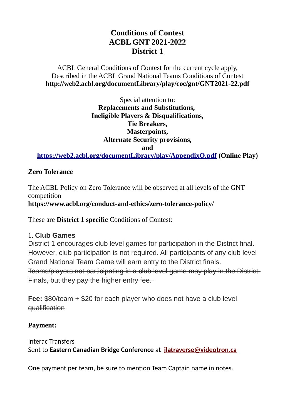# **Conditions of Contest ACBL GNT 2021-2022 District 1**

## ACBL General Conditions of Contest for the current cycle apply, Described in the ACBL Grand National Teams Conditions of Contest **http://web2.acbl.org/documentLibrary/play/coc/gnt/GNT2021-22.pdf**

Special attention to: **Replacements and Substitutions, Ineligible Players & Disqualifications, Tie Breakers, Masterpoints, Alternate Security provisions, and**

**<https://web2.acbl.org/documentLibrary/play/AppendixO.pdf>(Online Play)**

## **Zero Tolerance**

The ACBL Policy on Zero Tolerance will be observed at all levels of the GNT competition **https://www.acbl.org/conduct-and-ethics/zero-tolerance-policy/**

These are **District 1 specific** Conditions of Contest:

## 1. **Club Games**

District 1 encourages club level games for participation in the District final. However, club participation is not required. All participants of any club level Grand National Team Game will earn entry to the District finals. Teams/players not participating in a club level game may play in the District Finals, but they pay the higher entry fee.

**Fee:** \$80/team  $+$  \$20 for each player who does not have a club level qualification

# **Payment:**

Interac Transfers Sent to **Eastern Canadian Bridge Conference** at **[jlatraverse@videotron.ca](mailto:jlatraverse@videotron.ca)**

One payment per team, be sure to mention Team Captain name in notes.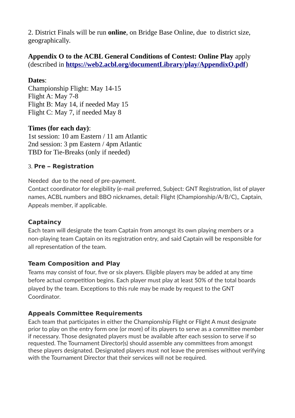2. District Finals will be run **online**, on Bridge Base Online, due to district size, geographically.

**Appendix O to the ACBL General Conditions of Contest: Online Play** apply (described in **<https://web2.acbl.org/documentLibrary/play/AppendixO.pdf>**)

#### **Dates**:

Championship Flight: May 14-15 Flight A: May 7-8 Flight B: May 14, if needed May 15 Flight C: May 7, if needed May 8

#### **Times (for each day)**:

1st session: 10 am Eastern / 11 am Atlantic 2nd session: 3 pm Eastern / 4pm Atlantic TBD for Tie-Breaks (only if needed)

#### 3. **Pre – Registration**

Needed due to the need of pre-payment.

Contact coordinator for elegibility (e-mail preferred, Subject: GNT Registration, list of player names, ACBL numbers and BBO nicknames, detail: Flight (Championship/A/B/C),, Captain, Appeals member, if applicable.

## **Captaincy**

Each team will designate the team Captain from amongst its own playing members or a non-playing team Captain on its registration entry, and said Captain will be responsible for all representation of the team.

## **Team Composition and Play**

Teams may consist of four, five or six players. Eligible players may be added at any time before actual competition begins. Each player must play at least 50% of the total boards played by the team. Exceptions to this rule may be made by request to the GNT Coordinator.

## **Appeals Committee Requirements**

Each team that participates in either the Championship Flight or Flight A must designate prior to play on the entry form one (or more) of its players to serve as a committee member if necessary. Those designated players must be available after each session to serve if so requested. The Tournament Director(s) should assemble any committees from amongst these players designated. Designated players must not leave the premises without verifying with the Tournament Director that their services will not be required.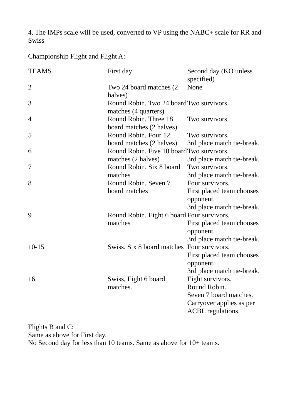4. The IMPs scale will be used, converted to VP using the NABC+ scale for RR and Swiss

Championship Flight and Flight A:

| <b>TEAMS</b>   | First day                                                       | Second day (KO unless<br>specified)                                        |
|----------------|-----------------------------------------------------------------|----------------------------------------------------------------------------|
| $\overline{2}$ | Two 24 board matches (2)<br>halves)                             | None                                                                       |
| 3              | Round Robin. Two 24 board Two survivors<br>matches (4 quarters) |                                                                            |
| 4              | Round Robin. Three 18<br>board matches (2 halves)               | Two survivors                                                              |
| 5              | Round Robin. Four 12<br>board matches (2 halves)                | Two survivors.<br>3rd place match tie-break.                               |
| 6              | Round Robin. Five 10 board Two survivors.<br>matches (2 halves) | 3rd place match tie-break.                                                 |
| 7              | Round Robin. Six 8 board<br>matches                             | Two survivors.                                                             |
| 8              | Round Robin. Seven 7<br>board matches                           | 3rd place match tie-break.<br>Four survivors.<br>First placed team chooses |
|                |                                                                 | opponent.<br>3rd place match tie-break.                                    |
| 9              | Round Robin. Eight 6 board Four survivors.<br>matches           | First placed team chooses                                                  |
|                |                                                                 | opponent.                                                                  |
|                |                                                                 | 3rd place match tie-break.                                                 |
| $10 - 15$      | Swiss. Six 8 board matches Four survivors.                      |                                                                            |
|                |                                                                 | First placed team chooses                                                  |
|                |                                                                 | opponent.                                                                  |
|                |                                                                 | 3rd place match tie-break.                                                 |
| $16+$          | Swiss, Eight 6 board                                            | Eight survivors.                                                           |
|                | matches.                                                        | Round Robin.                                                               |
|                |                                                                 | Seven 7 board matches.                                                     |
|                |                                                                 | Carryover applies as per                                                   |
|                |                                                                 | ACBL regulations.                                                          |

Flights B and C: Same as above for First day. No Second day for less than 10 teams. Same as above for 10+ teams.